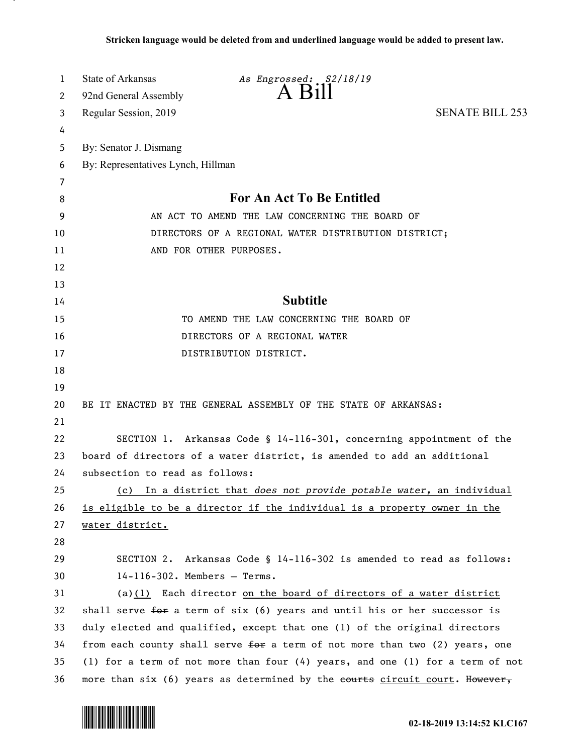| 1  | <b>State of Arkansas</b>                                                      | As Engrossed: S2/18/19                                                      |                        |  |
|----|-------------------------------------------------------------------------------|-----------------------------------------------------------------------------|------------------------|--|
| 2  | 92nd General Assembly                                                         | $A$ Bill                                                                    |                        |  |
| 3  | Regular Session, 2019                                                         |                                                                             | <b>SENATE BILL 253</b> |  |
| 4  |                                                                               |                                                                             |                        |  |
| 5  | By: Senator J. Dismang                                                        |                                                                             |                        |  |
| 6  | By: Representatives Lynch, Hillman                                            |                                                                             |                        |  |
| 7  |                                                                               |                                                                             |                        |  |
| 8  | For An Act To Be Entitled                                                     |                                                                             |                        |  |
| 9  | AN ACT TO AMEND THE LAW CONCERNING THE BOARD OF                               |                                                                             |                        |  |
| 10 | DIRECTORS OF A REGIONAL WATER DISTRIBUTION DISTRICT;                          |                                                                             |                        |  |
| 11 | AND FOR OTHER PURPOSES.                                                       |                                                                             |                        |  |
| 12 |                                                                               |                                                                             |                        |  |
| 13 |                                                                               |                                                                             |                        |  |
| 14 |                                                                               | <b>Subtitle</b>                                                             |                        |  |
| 15 |                                                                               | TO AMEND THE LAW CONCERNING THE BOARD OF                                    |                        |  |
| 16 |                                                                               | DIRECTORS OF A REGIONAL WATER                                               |                        |  |
| 17 |                                                                               | DISTRIBUTION DISTRICT.                                                      |                        |  |
| 18 |                                                                               |                                                                             |                        |  |
| 19 |                                                                               |                                                                             |                        |  |
| 20 | BE IT ENACTED BY THE GENERAL ASSEMBLY OF THE STATE OF ARKANSAS:               |                                                                             |                        |  |
| 21 |                                                                               |                                                                             |                        |  |
| 22 |                                                                               | SECTION 1. Arkansas Code § 14-116-301, concerning appointment of the        |                        |  |
| 23 | board of directors of a water district, is amended to add an additional       |                                                                             |                        |  |
| 24 | subsection to read as follows:                                                |                                                                             |                        |  |
| 25 | <u>(c)</u>                                                                    | In a district that does not provide potable water, an individual            |                        |  |
| 26 |                                                                               | is eligible to be a director if the individual is a property owner in the   |                        |  |
| 27 | water district.                                                               |                                                                             |                        |  |
| 28 |                                                                               |                                                                             |                        |  |
| 29 |                                                                               | SECTION 2. Arkansas Code § 14-116-302 is amended to read as follows:        |                        |  |
| 30 | $14-116-302$ . Members - Terms.                                               |                                                                             |                        |  |
| 31 | (a) $(1)$ Each director on the board of directors of a water district         |                                                                             |                        |  |
| 32 | shall serve for a term of six (6) years and until his or her successor is     |                                                                             |                        |  |
| 33 | duly elected and qualified, except that one (1) of the original directors     |                                                                             |                        |  |
| 34 |                                                                               | from each county shall serve for a term of not more than two (2) years, one |                        |  |
| 35 | (1) for a term of not more than four (4) years, and one (1) for a term of not |                                                                             |                        |  |
| 36 | more than six (6) years as determined by the eourts circuit court. However,   |                                                                             |                        |  |